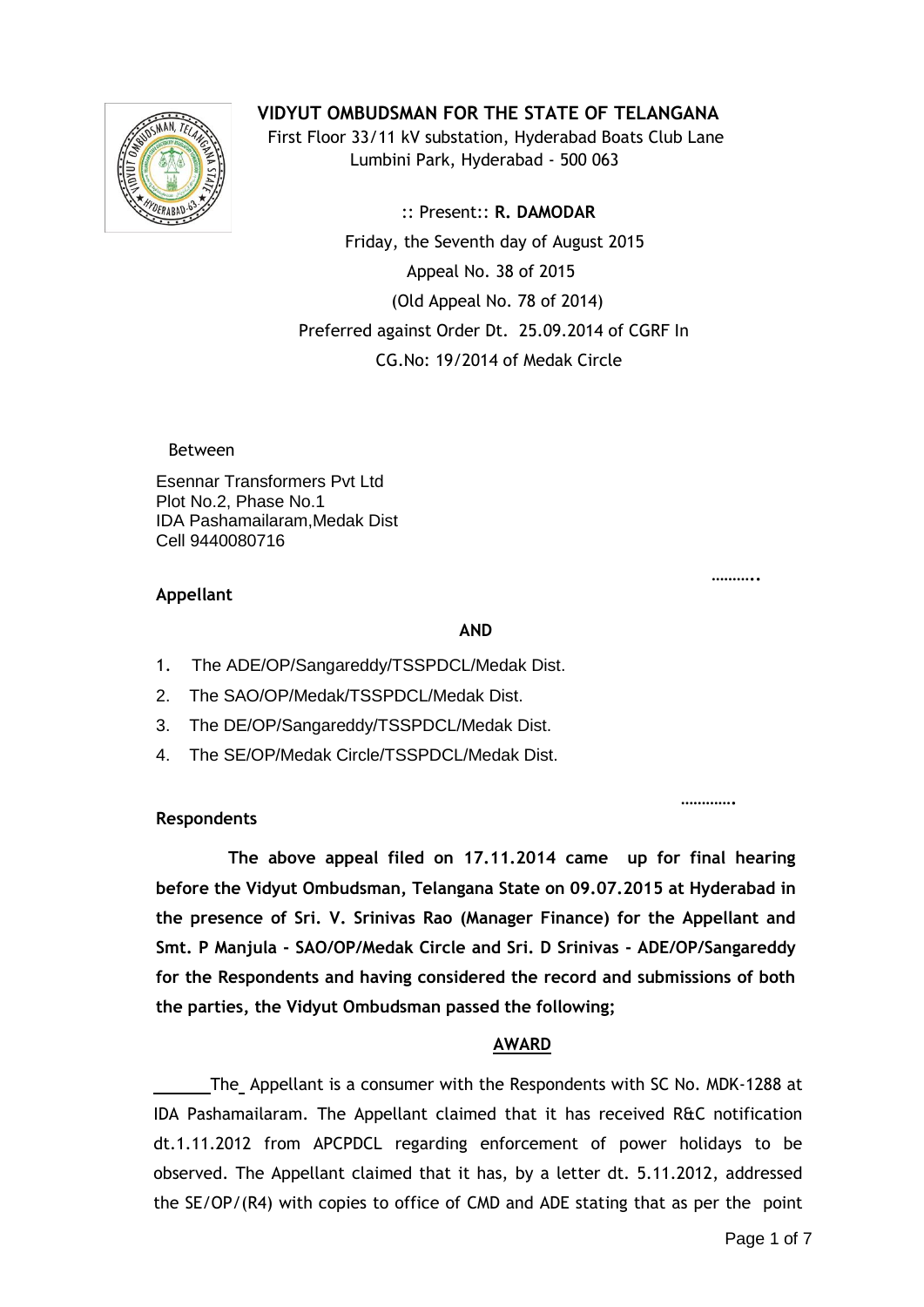

**VIDYUT OMBUDSMAN FOR THE STATE OF TELANGANA**

 First Floor 33/11 kV substation, Hyderabad Boats Club Lane Lumbini Park, Hyderabad - 500 063

 :: Present:: **R. DAMODAR** Friday, the Seventh day of August 2015 Appeal No. 38 of 2015 (Old Appeal No. 78 of 2014) Preferred against Order Dt. 25.09.2014 of CGRF In CG.No: 19/2014 of Medak Circle

Between

Esennar Transformers Pvt Ltd Plot No.2, Phase No.1 IDA Pashamailaram,Medak Dist Cell 9440080716

#### **……….. Appellant**

#### **AND**

- 1. The ADE/OP/Sangareddy/TSSPDCL/Medak Dist.
- 2. The SAO/OP/Medak/TSSPDCL/Medak Dist.
- 3. The DE/OP/Sangareddy/TSSPDCL/Medak Dist.
- 4. The SE/OP/Medak Circle/TSSPDCL/Medak Dist.

### **Respondents**

 **The above appeal filed on 17.11.2014 came up for final hearing before the Vidyut Ombudsman, Telangana State on 09.07.2015 at Hyderabad in the presence of Sri. V. Srinivas Rao (Manager Finance) for the Appellant and Smt. P Manjula - SAO/OP/Medak Circle and Sri. D Srinivas - ADE/OP/Sangareddy for the Respondents and having considered the record and submissions of both the parties, the Vidyut Ombudsman passed the following;**

**………….** 

### **AWARD**

The Appellant is a consumer with the Respondents with SC No. MDK-1288 at IDA Pashamailaram. The Appellant claimed that it has received R&C notification dt.1.11.2012 from APCPDCL regarding enforcement of power holidays to be observed. The Appellant claimed that it has, by a letter dt. 5.11.2012, addressed the SE/OP/(R4) with copies to office of CMD and ADE stating that as per the point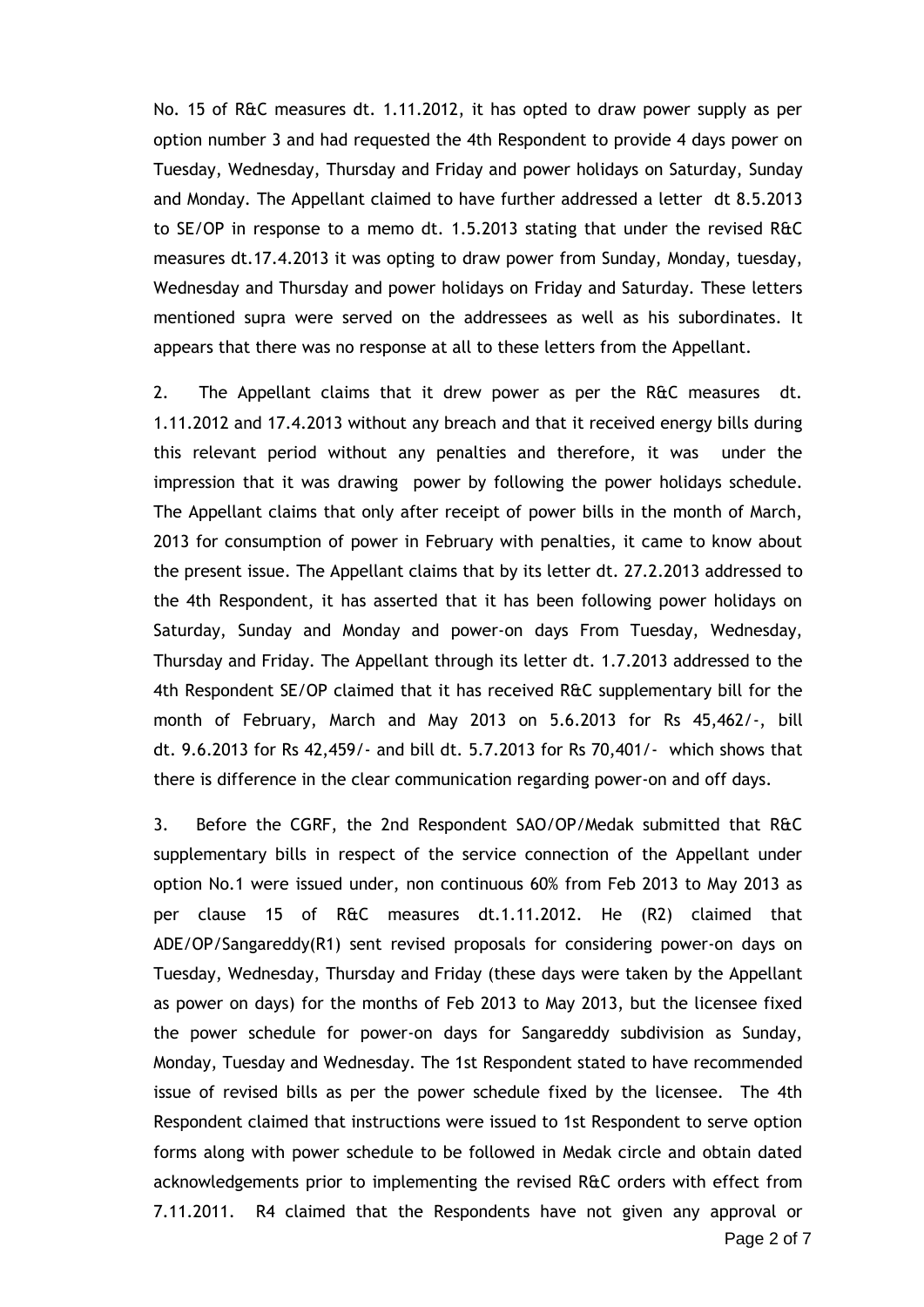No. 15 of R&C measures dt. 1.11.2012, it has opted to draw power supply as per option number 3 and had requested the 4th Respondent to provide 4 days power on Tuesday, Wednesday, Thursday and Friday and power holidays on Saturday, Sunday and Monday. The Appellant claimed to have further addressed a letter dt 8.5.2013 to SE/OP in response to a memo dt. 1.5.2013 stating that under the revised R&C measures dt.17.4.2013 it was opting to draw power from Sunday, Monday, tuesday, Wednesday and Thursday and power holidays on Friday and Saturday. These letters mentioned supra were served on the addressees as well as his subordinates. It appears that there was no response at all to these letters from the Appellant.

2. The Appellant claims that it drew power as per the R&C measures dt. 1.11.2012 and 17.4.2013 without any breach and that it received energy bills during this relevant period without any penalties and therefore, it was under the impression that it was drawing power by following the power holidays schedule. The Appellant claims that only after receipt of power bills in the month of March, 2013 for consumption of power in February with penalties, it came to know about the present issue. The Appellant claims that by its letter dt. 27.2.2013 addressed to the 4th Respondent, it has asserted that it has been following power holidays on Saturday, Sunday and Monday and power-on days From Tuesday, Wednesday, Thursday and Friday. The Appellant through its letter dt. 1.7.2013 addressed to the 4th Respondent SE/OP claimed that it has received R&C supplementary bill for the month of February, March and May 2013 on 5.6.2013 for Rs 45,462/-, bill dt. 9.6.2013 for Rs 42,459/- and bill dt. 5.7.2013 for Rs 70,401/- which shows that there is difference in the clear communication regarding power-on and off days.

3. Before the CGRF, the 2nd Respondent SAO/OP/Medak submitted that R&C supplementary bills in respect of the service connection of the Appellant under option No.1 were issued under, non continuous 60% from Feb 2013 to May 2013 as per clause 15 of R&C measures dt.1.11.2012. He (R2) claimed that ADE/OP/Sangareddy(R1) sent revised proposals for considering power-on days on Tuesday, Wednesday, Thursday and Friday (these days were taken by the Appellant as power on days) for the months of Feb 2013 to May 2013, but the licensee fixed the power schedule for power-on days for Sangareddy subdivision as Sunday, Monday, Tuesday and Wednesday. The 1st Respondent stated to have recommended issue of revised bills as per the power schedule fixed by the licensee. The 4th Respondent claimed that instructions were issued to 1st Respondent to serve option forms along with power schedule to be followed in Medak circle and obtain dated acknowledgements prior to implementing the revised R&C orders with effect from 7.11.2011. R4 claimed that the Respondents have not given any approval or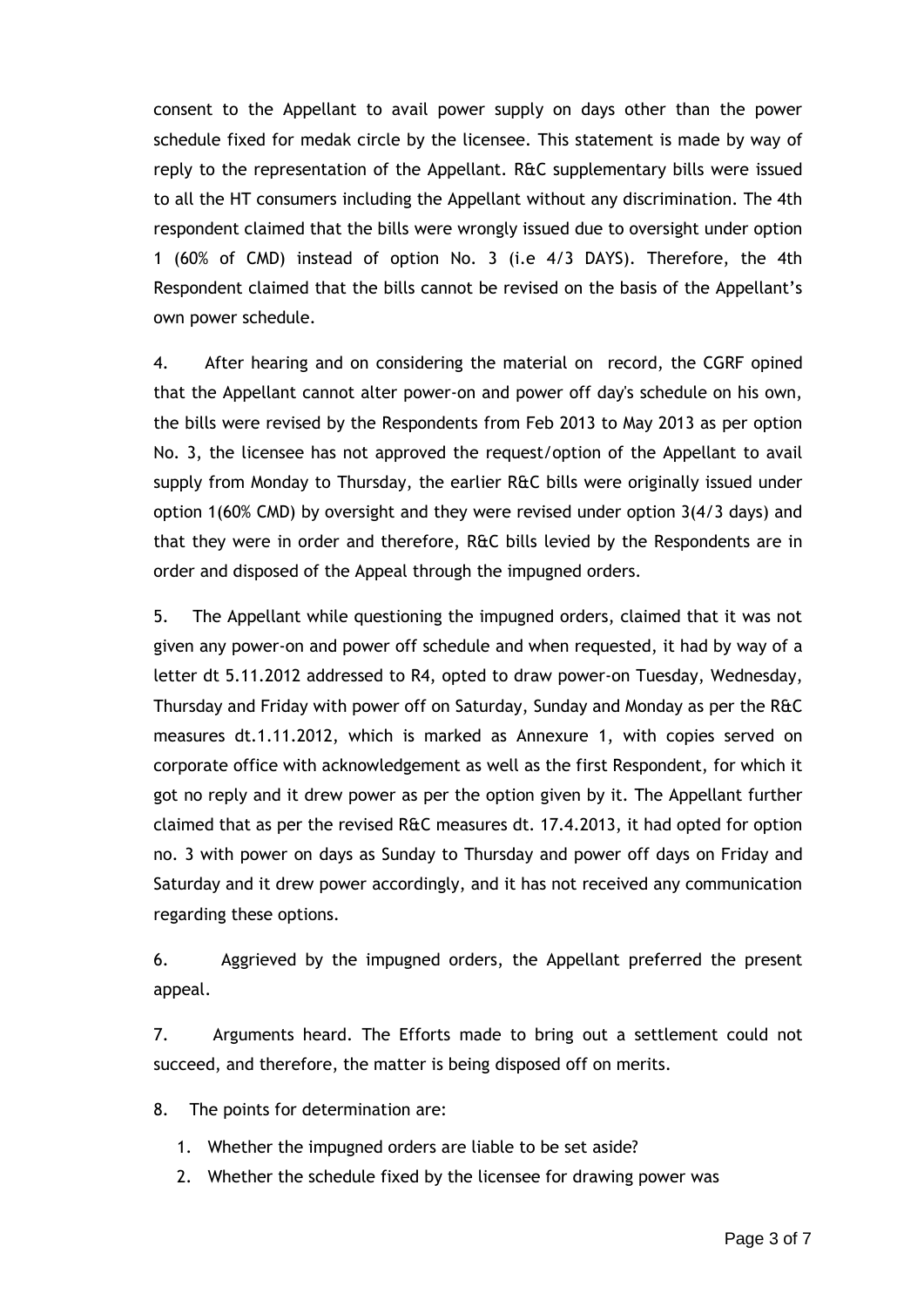consent to the Appellant to avail power supply on days other than the power schedule fixed for medak circle by the licensee. This statement is made by way of reply to the representation of the Appellant. R&C supplementary bills were issued to all the HT consumers including the Appellant without any discrimination. The 4th respondent claimed that the bills were wrongly issued due to oversight under option 1 (60% of CMD) instead of option No. 3 (i.e 4/3 DAYS). Therefore, the 4th Respondent claimed that the bills cannot be revised on the basis of the Appellant's own power schedule.

4. After hearing and on considering the material on record, the CGRF opined that the Appellant cannot alter power-on and power off day's schedule on his own, the bills were revised by the Respondents from Feb 2013 to May 2013 as per option No. 3, the licensee has not approved the request/option of the Appellant to avail supply from Monday to Thursday, the earlier R&C bills were originally issued under option 1(60% CMD) by oversight and they were revised under option 3(4/3 days) and that they were in order and therefore, R&C bills levied by the Respondents are in order and disposed of the Appeal through the impugned orders.

5. The Appellant while questioning the impugned orders, claimed that it was not given any power-on and power off schedule and when requested, it had by way of a letter dt 5.11.2012 addressed to R4, opted to draw power-on Tuesday, Wednesday, Thursday and Friday with power off on Saturday, Sunday and Monday as per the R&C measures dt.1.11.2012, which is marked as Annexure 1, with copies served on corporate office with acknowledgement as well as the first Respondent, for which it got no reply and it drew power as per the option given by it. The Appellant further claimed that as per the revised R&C measures dt. 17.4.2013, it had opted for option no. 3 with power on days as Sunday to Thursday and power off days on Friday and Saturday and it drew power accordingly, and it has not received any communication regarding these options.

6. Aggrieved by the impugned orders, the Appellant preferred the present appeal.

7. Arguments heard. The Efforts made to bring out a settlement could not succeed, and therefore, the matter is being disposed off on merits.

8. The points for determination are:

- 1. Whether the impugned orders are liable to be set aside?
- 2. Whether the schedule fixed by the licensee for drawing power was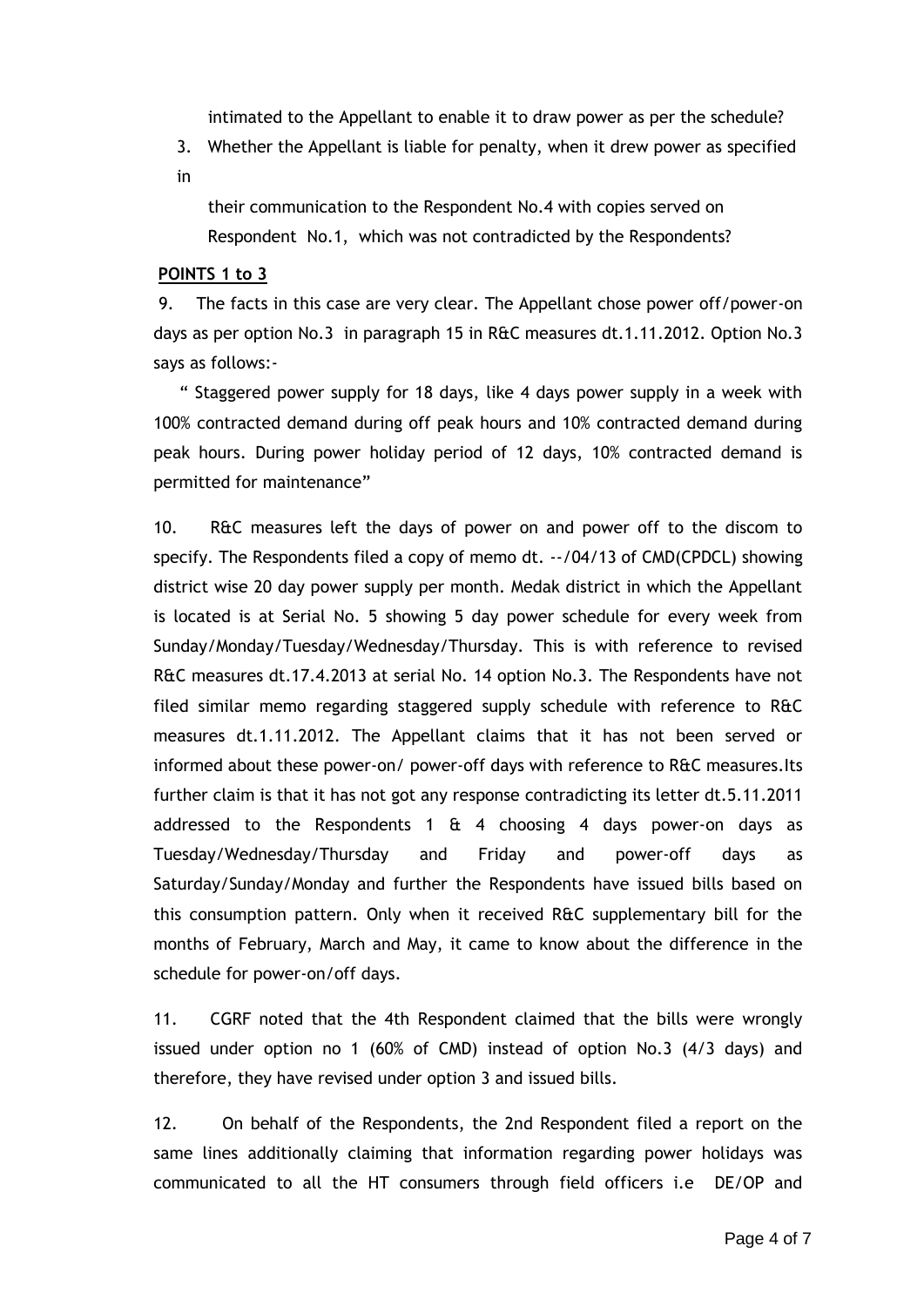intimated to the Appellant to enable it to draw power as per the schedule?

- 3. Whether the Appellant is liable for penalty, when it drew power as specified
- in

 their communication to the Respondent No.4 with copies served on Respondent No.1, which was not contradicted by the Respondents?

## **POINTS 1 to 3**

9. The facts in this case are very clear. The Appellant chose power off/power-on days as per option No.3 in paragraph 15 in R&C measures dt.1.11.2012. Option No.3 says as follows:-

 " Staggered power supply for 18 days, like 4 days power supply in a week with 100% contracted demand during off peak hours and 10% contracted demand during peak hours. During power holiday period of 12 days, 10% contracted demand is permitted for maintenance"

10. R&C measures left the days of power on and power off to the discom to specify. The Respondents filed a copy of memo dt. --/04/13 of CMD(CPDCL) showing district wise 20 day power supply per month. Medak district in which the Appellant is located is at Serial No. 5 showing 5 day power schedule for every week from Sunday/Monday/Tuesday/Wednesday/Thursday. This is with reference to revised R&C measures dt.17.4.2013 at serial No. 14 option No.3. The Respondents have not filed similar memo regarding staggered supply schedule with reference to R&C measures dt.1.11.2012. The Appellant claims that it has not been served or informed about these power-on/ power-off days with reference to R&C measures.Its further claim is that it has not got any response contradicting its letter dt.5.11.2011 addressed to the Respondents 1  $\&$  4 choosing 4 days power-on days as Tuesday/Wednesday/Thursday and Friday and power-off days as Saturday/Sunday/Monday and further the Respondents have issued bills based on this consumption pattern. Only when it received R&C supplementary bill for the months of February, March and May, it came to know about the difference in the schedule for power-on/off days.

11. CGRF noted that the 4th Respondent claimed that the bills were wrongly issued under option no 1 (60% of CMD) instead of option No.3 (4/3 days) and therefore, they have revised under option 3 and issued bills.

12. On behalf of the Respondents, the 2nd Respondent filed a report on the same lines additionally claiming that information regarding power holidays was communicated to all the HT consumers through field officers i.e DE/OP and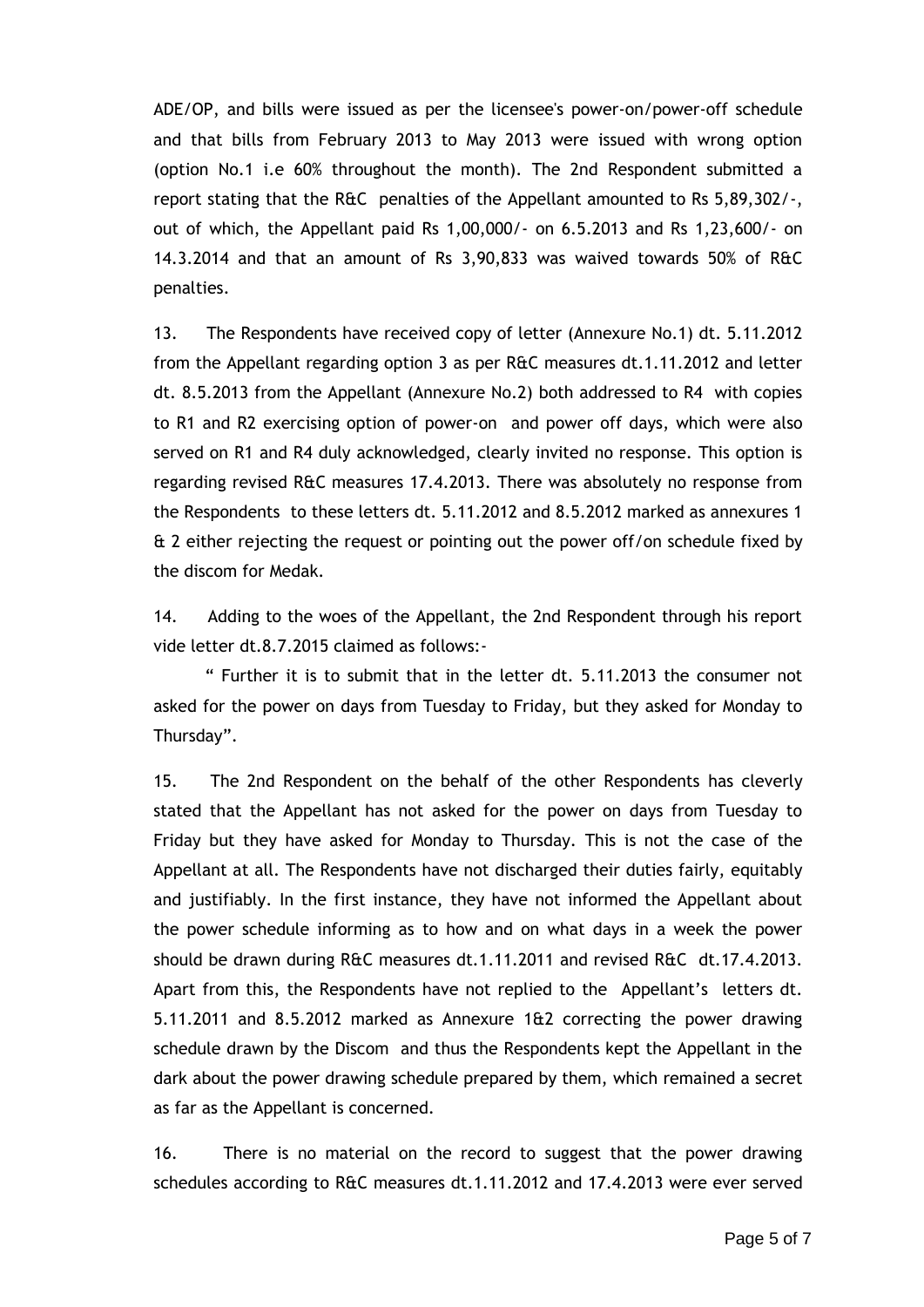ADE/OP, and bills were issued as per the licensee's power-on/power-off schedule and that bills from February 2013 to May 2013 were issued with wrong option (option No.1 i.e 60% throughout the month). The 2nd Respondent submitted a report stating that the R&C penalties of the Appellant amounted to Rs 5,89,302/-, out of which, the Appellant paid Rs 1,00,000/- on 6.5.2013 and Rs 1,23,600/- on 14.3.2014 and that an amount of Rs 3,90,833 was waived towards 50% of R&C penalties.

13. The Respondents have received copy of letter (Annexure No.1) dt. 5.11.2012 from the Appellant regarding option 3 as per R&C measures dt.1.11.2012 and letter dt. 8.5.2013 from the Appellant (Annexure No.2) both addressed to R4 with copies to R1 and R2 exercising option of power-on and power off days, which were also served on R1 and R4 duly acknowledged, clearly invited no response. This option is regarding revised R&C measures 17.4.2013. There was absolutely no response from the Respondents to these letters dt. 5.11.2012 and 8.5.2012 marked as annexures 1 & 2 either rejecting the request or pointing out the power off/on schedule fixed by the discom for Medak.

14. Adding to the woes of the Appellant, the 2nd Respondent through his report vide letter dt.8.7.2015 claimed as follows:-

 " Further it is to submit that in the letter dt. 5.11.2013 the consumer not asked for the power on days from Tuesday to Friday, but they asked for Monday to Thursday".

15. The 2nd Respondent on the behalf of the other Respondents has cleverly stated that the Appellant has not asked for the power on days from Tuesday to Friday but they have asked for Monday to Thursday. This is not the case of the Appellant at all. The Respondents have not discharged their duties fairly, equitably and justifiably. In the first instance, they have not informed the Appellant about the power schedule informing as to how and on what days in a week the power should be drawn during R&C measures dt.1.11.2011 and revised R&C dt.17.4.2013. Apart from this, the Respondents have not replied to the Appellant's letters dt. 5.11.2011 and 8.5.2012 marked as Annexure 1&2 correcting the power drawing schedule drawn by the Discom and thus the Respondents kept the Appellant in the dark about the power drawing schedule prepared by them, which remained a secret as far as the Appellant is concerned.

16. There is no material on the record to suggest that the power drawing schedules according to R&C measures dt.1.11.2012 and 17.4.2013 were ever served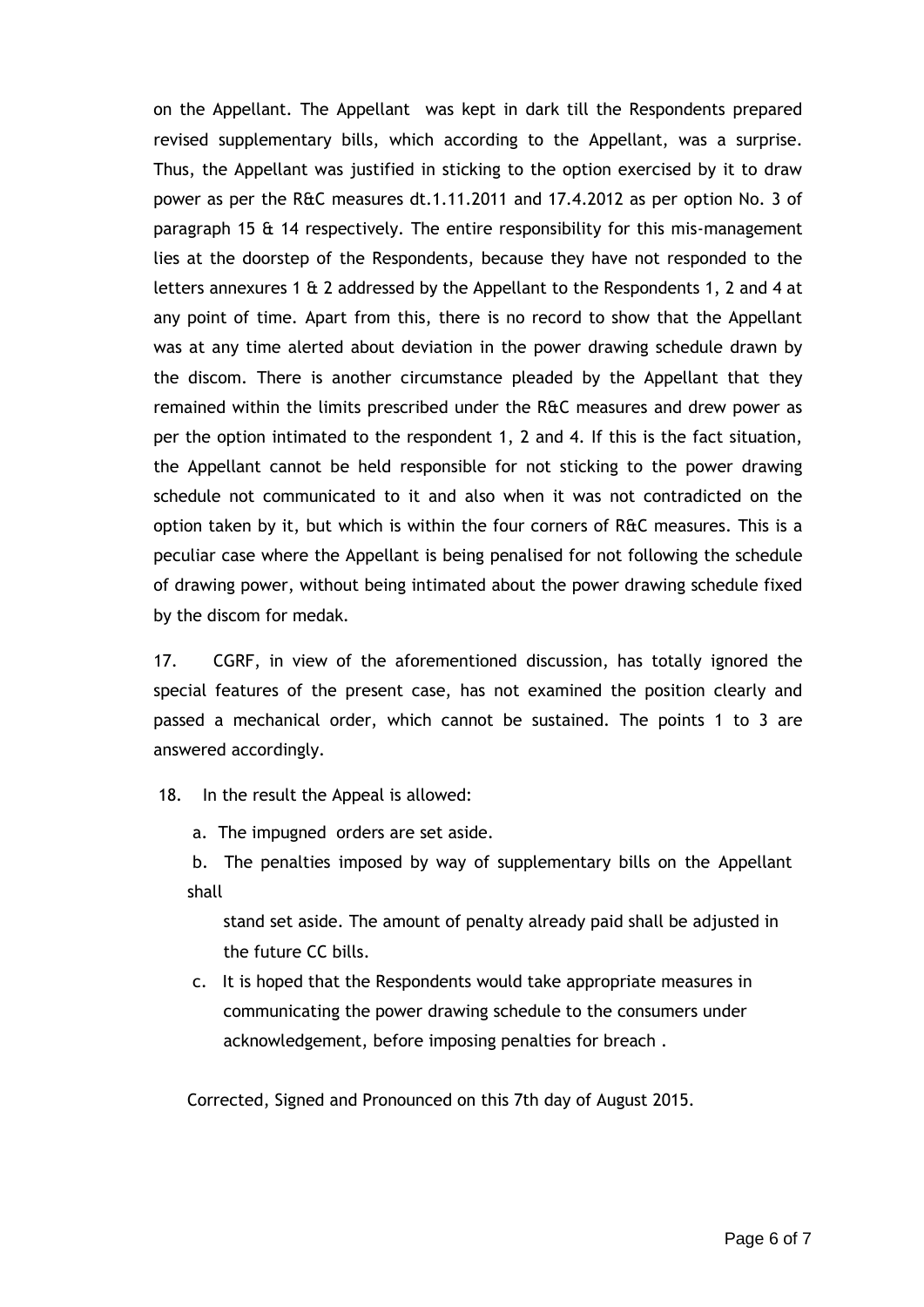on the Appellant. The Appellant was kept in dark till the Respondents prepared revised supplementary bills, which according to the Appellant, was a surprise. Thus, the Appellant was justified in sticking to the option exercised by it to draw power as per the R&C measures dt.1.11.2011 and 17.4.2012 as per option No. 3 of paragraph 15 & 14 respectively. The entire responsibility for this mis-management lies at the doorstep of the Respondents, because they have not responded to the letters annexures 1 & 2 addressed by the Appellant to the Respondents 1, 2 and 4 at any point of time. Apart from this, there is no record to show that the Appellant was at any time alerted about deviation in the power drawing schedule drawn by the discom. There is another circumstance pleaded by the Appellant that they remained within the limits prescribed under the R&C measures and drew power as per the option intimated to the respondent 1, 2 and 4. If this is the fact situation, the Appellant cannot be held responsible for not sticking to the power drawing schedule not communicated to it and also when it was not contradicted on the option taken by it, but which is within the four corners of R&C measures. This is a peculiar case where the Appellant is being penalised for not following the schedule of drawing power, without being intimated about the power drawing schedule fixed by the discom for medak.

17. CGRF, in view of the aforementioned discussion, has totally ignored the special features of the present case, has not examined the position clearly and passed a mechanical order, which cannot be sustained. The points 1 to 3 are answered accordingly.

18. In the result the Appeal is allowed:

a. The impugned orders are set aside.

b. The penalties imposed by way of supplementary bills on the Appellant shall

 stand set aside. The amount of penalty already paid shall be adjusted in the future CC bills.

c. It is hoped that the Respondents would take appropriate measures in communicating the power drawing schedule to the consumers under acknowledgement, before imposing penalties for breach .

Corrected, Signed and Pronounced on this 7th day of August 2015.